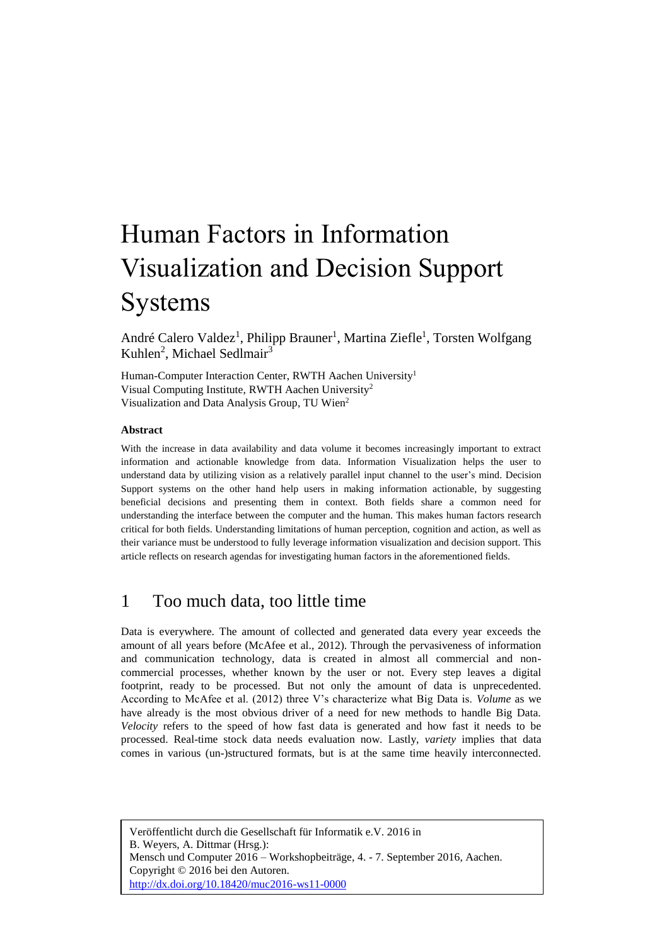# Human Factors in Information Visualization and Decision Support Systems

André Calero Valdez<sup>1</sup>, Philipp Brauner<sup>1</sup>, Martina Ziefle<sup>1</sup>, Torsten Wolfgang Kuhlen<sup>2</sup>, Michael Sedlmair<sup>3</sup>

Human-Computer Interaction Center, RWTH Aachen University<sup>1</sup> Visual Computing Institute, RWTH Aachen University<sup>2</sup> Visualization and Data Analysis Group, TU Wien<sup>2</sup>

### **Abstract**

With the increase in data availability and data volume it becomes increasingly important to extract information and actionable knowledge from data. Information Visualization helps the user to understand data by utilizing vision as a relatively parallel input channel to the user's mind. Decision Support systems on the other hand help users in making information actionable, by suggesting beneficial decisions and presenting them in context. Both fields share a common need for understanding the interface between the computer and the human. This makes human factors research critical for both fields. Understanding limitations of human perception, cognition and action, as well as their variance must be understood to fully leverage information visualization and decision support. This article reflects on research agendas for investigating human factors in the aforementioned fields.

# 1 Too much data, too little time

Data is everywhere. The amount of collected and generated data every year exceeds the amount of all years before (McAfee et al., 2012). Through the pervasiveness of information and communication technology, data is created in almost all commercial and noncommercial processes, whether known by the user or not. Every step leaves a digital footprint, ready to be processed. But not only the amount of data is unprecedented. According to McAfee et al. (2012) three V's characterize what Big Data is. *Volume* as we have already is the most obvious driver of a need for new methods to handle Big Data. *Velocity* refers to the speed of how fast data is generated and how fast it needs to be processed. Real-time stock data needs evaluation now. Lastly, *variety* implies that data comes in various (un-)structured formats, but is at the same time heavily interconnected.

Veröffentlicht durch die Gesellschaft für Informatik e.V. 2016 in B. Weyers, A. Dittmar (Hrsg.): Mensch und Computer 2016 – Workshopbeiträge, 4. - 7. September 2016, Aachen. Copyright © 2016 bei den Autoren. <http://dx.doi.org/10.18420/muc2016-ws11-0000>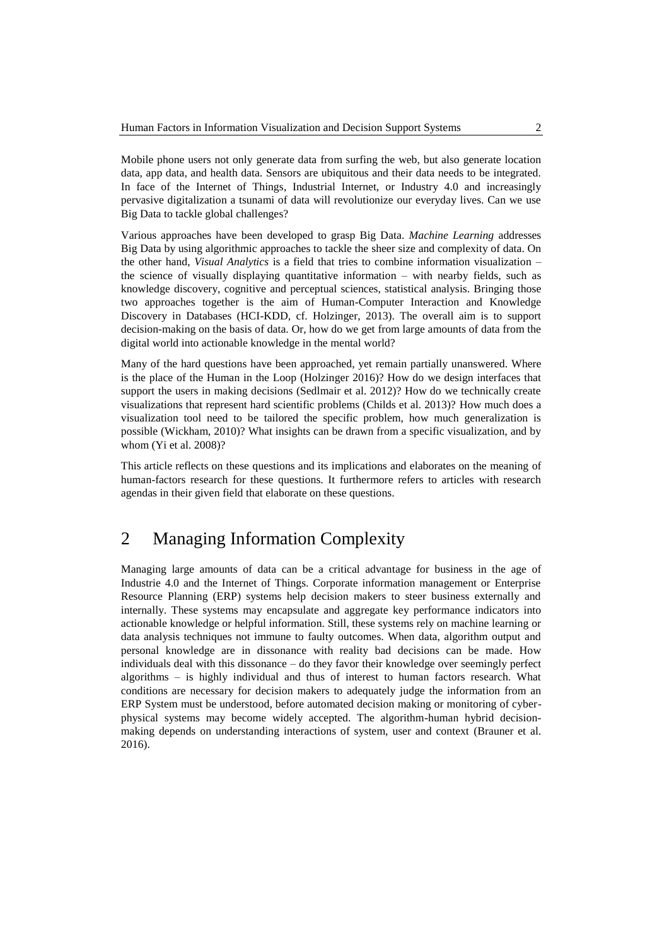Mobile phone users not only generate data from surfing the web, but also generate location data, app data, and health data. Sensors are ubiquitous and their data needs to be integrated. In face of the Internet of Things, Industrial Internet, or Industry 4.0 and increasingly pervasive digitalization a tsunami of data will revolutionize our everyday lives. Can we use Big Data to tackle global challenges?

Various approaches have been developed to grasp Big Data. *Machine Learning* addresses Big Data by using algorithmic approaches to tackle the sheer size and complexity of data. On the other hand, *Visual Analytics* is a field that tries to combine information visualization – the science of visually displaying quantitative information – with nearby fields, such as knowledge discovery, cognitive and perceptual sciences, statistical analysis. Bringing those two approaches together is the aim of Human-Computer Interaction and Knowledge Discovery in Databases (HCI-KDD, cf. Holzinger, 2013). The overall aim is to support decision-making on the basis of data. Or, how do we get from large amounts of data from the digital world into actionable knowledge in the mental world?

Many of the hard questions have been approached, yet remain partially unanswered. Where is the place of the Human in the Loop (Holzinger 2016)? How do we design interfaces that support the users in making decisions (Sedlmair et al. 2012)? How do we technically create visualizations that represent hard scientific problems (Childs et al. 2013)? How much does a visualization tool need to be tailored the specific problem, how much generalization is possible (Wickham, 2010)? What insights can be drawn from a specific visualization, and by whom (Yi et al. 2008)?

This article reflects on these questions and its implications and elaborates on the meaning of human-factors research for these questions. It furthermore refers to articles with research agendas in their given field that elaborate on these questions.

# 2 Managing Information Complexity

Managing large amounts of data can be a critical advantage for business in the age of Industrie 4.0 and the Internet of Things. Corporate information management or Enterprise Resource Planning (ERP) systems help decision makers to steer business externally and internally. These systems may encapsulate and aggregate key performance indicators into actionable knowledge or helpful information. Still, these systems rely on machine learning or data analysis techniques not immune to faulty outcomes. When data, algorithm output and personal knowledge are in dissonance with reality bad decisions can be made. How individuals deal with this dissonance – do they favor their knowledge over seemingly perfect algorithms – is highly individual and thus of interest to human factors research. What conditions are necessary for decision makers to adequately judge the information from an ERP System must be understood, before automated decision making or monitoring of cyberphysical systems may become widely accepted. The algorithm-human hybrid decisionmaking depends on understanding interactions of system, user and context (Brauner et al. 2016).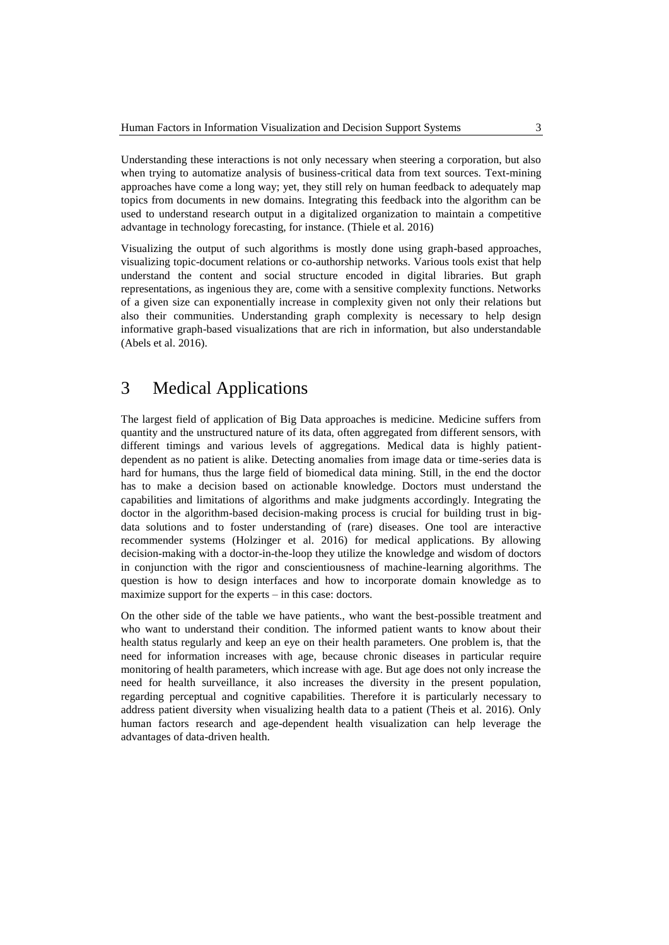Understanding these interactions is not only necessary when steering a corporation, but also when trying to automatize analysis of business-critical data from text sources. Text-mining approaches have come a long way; yet, they still rely on human feedback to adequately map topics from documents in new domains. Integrating this feedback into the algorithm can be used to understand research output in a digitalized organization to maintain a competitive advantage in technology forecasting, for instance. (Thiele et al. 2016)

Visualizing the output of such algorithms is mostly done using graph-based approaches, visualizing topic-document relations or co-authorship networks. Various tools exist that help understand the content and social structure encoded in digital libraries. But graph representations, as ingenious they are, come with a sensitive complexity functions. Networks of a given size can exponentially increase in complexity given not only their relations but also their communities. Understanding graph complexity is necessary to help design informative graph-based visualizations that are rich in information, but also understandable (Abels et al. 2016).

# 3 Medical Applications

The largest field of application of Big Data approaches is medicine. Medicine suffers from quantity and the unstructured nature of its data, often aggregated from different sensors, with different timings and various levels of aggregations. Medical data is highly patientdependent as no patient is alike. Detecting anomalies from image data or time-series data is hard for humans, thus the large field of biomedical data mining. Still, in the end the doctor has to make a decision based on actionable knowledge. Doctors must understand the capabilities and limitations of algorithms and make judgments accordingly. Integrating the doctor in the algorithm-based decision-making process is crucial for building trust in bigdata solutions and to foster understanding of (rare) diseases. One tool are interactive recommender systems (Holzinger et al. 2016) for medical applications. By allowing decision-making with a doctor-in-the-loop they utilize the knowledge and wisdom of doctors in conjunction with the rigor and conscientiousness of machine-learning algorithms. The question is how to design interfaces and how to incorporate domain knowledge as to maximize support for the experts – in this case: doctors.

On the other side of the table we have patients., who want the best-possible treatment and who want to understand their condition. The informed patient wants to know about their health status regularly and keep an eye on their health parameters. One problem is, that the need for information increases with age, because chronic diseases in particular require monitoring of health parameters, which increase with age. But age does not only increase the need for health surveillance, it also increases the diversity in the present population, regarding perceptual and cognitive capabilities. Therefore it is particularly necessary to address patient diversity when visualizing health data to a patient (Theis et al. 2016). Only human factors research and age-dependent health visualization can help leverage the advantages of data-driven health.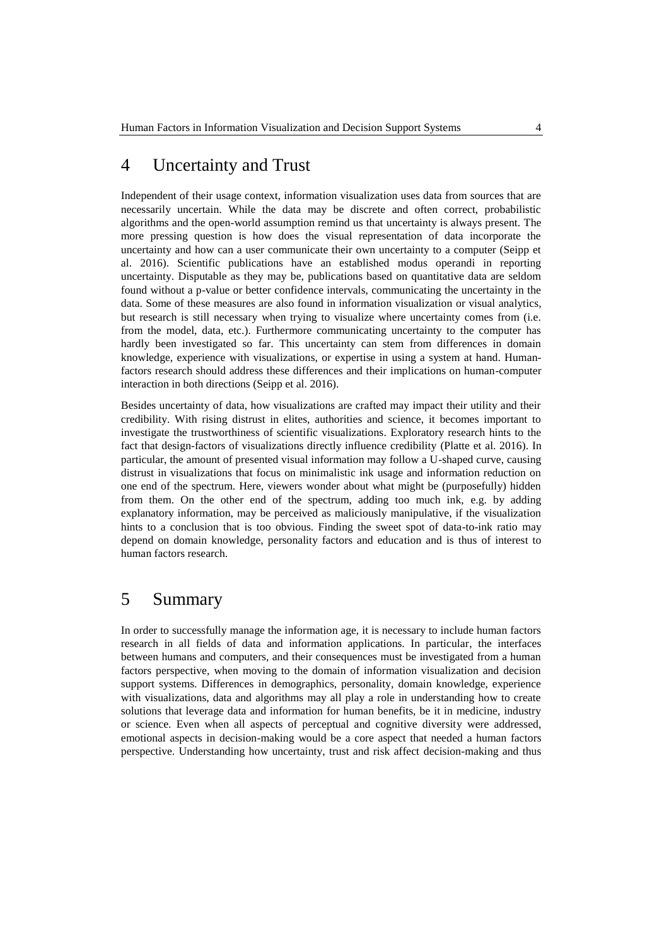# 4 Uncertainty and Trust

Independent of their usage context, information visualization uses data from sources that are necessarily uncertain. While the data may be discrete and often correct, probabilistic algorithms and the open-world assumption remind us that uncertainty is always present. The more pressing question is how does the visual representation of data incorporate the uncertainty and how can a user communicate their own uncertainty to a computer (Seipp et al. 2016). Scientific publications have an established modus operandi in reporting uncertainty. Disputable as they may be, publications based on quantitative data are seldom found without a p-value or better confidence intervals, communicating the uncertainty in the data. Some of these measures are also found in information visualization or visual analytics, but research is still necessary when trying to visualize where uncertainty comes from (i.e. from the model, data, etc.). Furthermore communicating uncertainty to the computer has hardly been investigated so far. This uncertainty can stem from differences in domain knowledge, experience with visualizations, or expertise in using a system at hand. Humanfactors research should address these differences and their implications on human-computer interaction in both directions (Seipp et al. 2016).

Besides uncertainty of data, how visualizations are crafted may impact their utility and their credibility. With rising distrust in elites, authorities and science, it becomes important to investigate the trustworthiness of scientific visualizations. Exploratory research hints to the fact that design-factors of visualizations directly influence credibility (Platte et al. 2016). In particular, the amount of presented visual information may follow a U-shaped curve, causing distrust in visualizations that focus on minimalistic ink usage and information reduction on one end of the spectrum. Here, viewers wonder about what might be (purposefully) hidden from them. On the other end of the spectrum, adding too much ink, e.g. by adding explanatory information, may be perceived as maliciously manipulative, if the visualization hints to a conclusion that is too obvious. Finding the sweet spot of data-to-ink ratio may depend on domain knowledge, personality factors and education and is thus of interest to human factors research.

# 5 Summary

In order to successfully manage the information age, it is necessary to include human factors research in all fields of data and information applications. In particular, the interfaces between humans and computers, and their consequences must be investigated from a human factors perspective, when moving to the domain of information visualization and decision support systems. Differences in demographics, personality, domain knowledge, experience with visualizations, data and algorithms may all play a role in understanding how to create solutions that leverage data and information for human benefits, be it in medicine, industry or science. Even when all aspects of perceptual and cognitive diversity were addressed, emotional aspects in decision-making would be a core aspect that needed a human factors perspective. Understanding how uncertainty, trust and risk affect decision-making and thus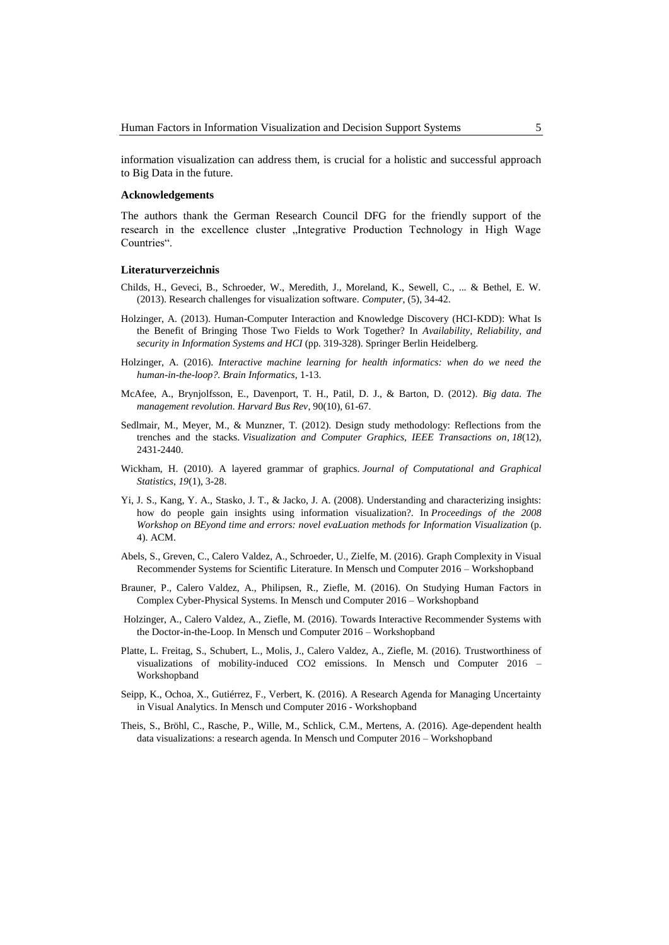information visualization can address them, is crucial for a holistic and successful approach to Big Data in the future.

#### **Acknowledgements**

The authors thank the German Research Council DFG for the friendly support of the research in the excellence cluster "Integrative Production Technology in High Wage Countries".

#### **Literaturverzeichnis**

- Childs, H., Geveci, B., Schroeder, W., Meredith, J., Moreland, K., Sewell, C., ... & Bethel, E. W. (2013). Research challenges for visualization software. *Computer*, (5), 34-42.
- Holzinger, A. (2013). Human-Computer Interaction and Knowledge Discovery (HCI-KDD): What Is the Benefit of Bringing Those Two Fields to Work Together? In *Availability, Reliability, and security in Information Systems and HCI* (pp. 319-328). Springer Berlin Heidelberg.
- Holzinger, A. (2016). *Interactive machine learning for health informatics: when do we need the human-in-the-loop?. Brain Informatics,* 1-13.
- McAfee, A., Brynjolfsson, E., Davenport, T. H., Patil, D. J., & Barton, D. (2012). *Big data. The management revolution. Harvard Bus Rev*, 90(10), 61-67.
- Sedlmair, M., Meyer, M., & Munzner, T. (2012). Design study methodology: Reflections from the trenches and the stacks. *Visualization and Computer Graphics, IEEE Transactions on*, *18*(12), 2431-2440.
- Wickham, H. (2010). A layered grammar of graphics. *Journal of Computational and Graphical Statistics*, *19*(1), 3-28.
- Yi, J. S., Kang, Y. A., Stasko, J. T., & Jacko, J. A. (2008). Understanding and characterizing insights: how do people gain insights using information visualization?. In *Proceedings of the 2008 Workshop on BEyond time and errors: novel evaLuation methods for Information Visualization* (p. 4). ACM.
- Abels, S., Greven, C., Calero Valdez, A., Schroeder, U., Zielfe, M. (2016). Graph Complexity in Visual Recommender Systems for Scientific Literature. In Mensch und Computer 2016 – Workshopband
- Brauner, P., Calero Valdez, A., Philipsen, R., Ziefle, M. (2016). On Studying Human Factors in Complex Cyber-Physical Systems. In Mensch und Computer 2016 – Workshopband
- Holzinger, A., Calero Valdez, A., Ziefle, M. (2016). Towards Interactive Recommender Systems with the Doctor-in-the-Loop. In Mensch und Computer 2016 – Workshopband
- Platte, L. Freitag, S., Schubert, L., Molis, J., Calero Valdez, A., Ziefle, M. (2016). Trustworthiness of visualizations of mobility-induced CO2 emissions. In Mensch und Computer 2016 – Workshopband
- Seipp, K., Ochoa, X., Gutiérrez, F., Verbert, K. (2016). A Research Agenda for Managing Uncertainty in Visual Analytics. In Mensch und Computer 2016 - Workshopband
- Theis, S., Bröhl, C., Rasche, P., Wille, M., Schlick, C.M., Mertens, A. (2016). Age-dependent health data visualizations: a research agenda. In Mensch und Computer 2016 – Workshopband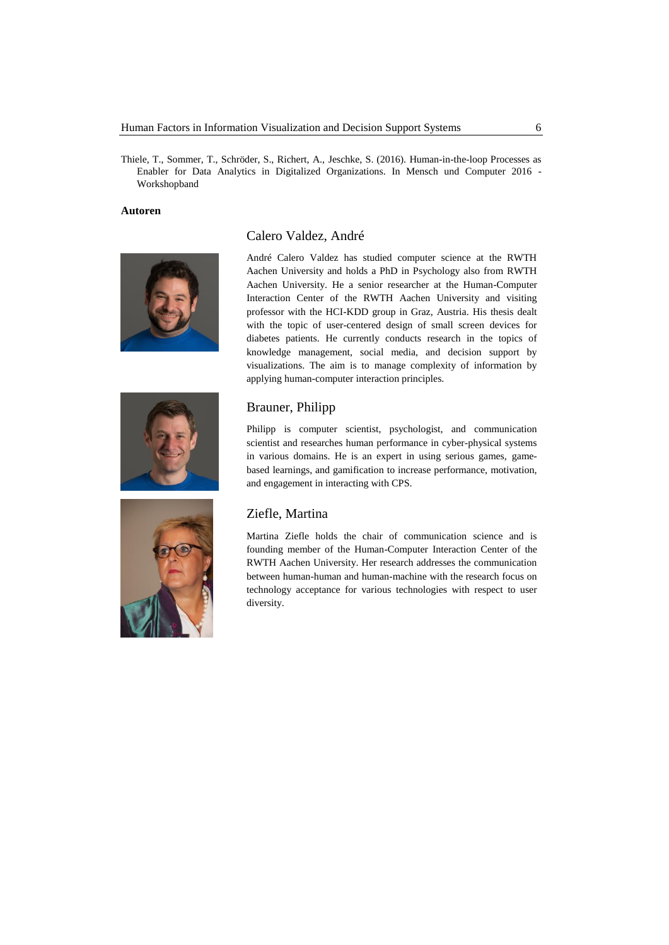Thiele, T., Sommer, T., Schröder, S., Richert, A., Jeschke, S. (2016). Human-in-the-loop Processes as Enabler for Data Analytics in Digitalized Organizations. In Mensch und Computer 2016 - Workshopband

#### **Autoren**

### Calero Valdez, André







André Calero Valdez has studied computer science at the RWTH Aachen University and holds a PhD in Psychology also from RWTH Aachen University. He a senior researcher at the Human-Computer Interaction Center of the RWTH Aachen University and visiting professor with the HCI-KDD group in Graz, Austria. His thesis dealt with the topic of user-centered design of small screen devices for diabetes patients. He currently conducts research in the topics of knowledge management, social media, and decision support by visualizations. The aim is to manage complexity of information by applying human-computer interaction principles.

### Brauner, Philipp

Philipp is computer scientist, psychologist, and communication scientist and researches human performance in cyber-physical systems in various domains. He is an expert in using serious games, gamebased learnings, and gamification to increase performance, motivation, and engagement in interacting with CPS.

### Ziefle, Martina

Martina Ziefle holds the chair of communication science and is founding member of the Human-Computer Interaction Center of the RWTH Aachen University. Her research addresses the communication between human-human and human-machine with the research focus on technology acceptance for various technologies with respect to user diversity.